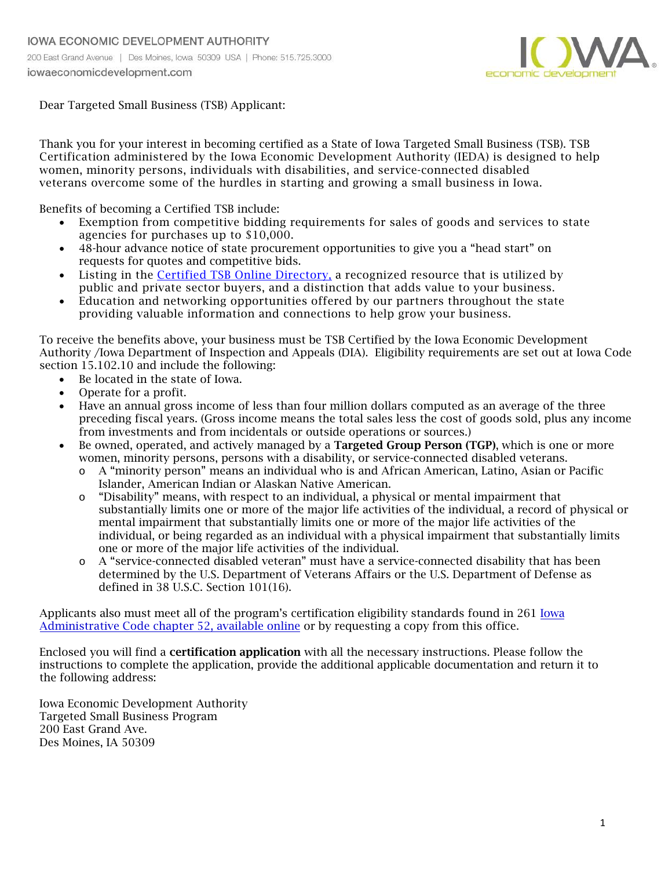

Dear Targeted Small Business (TSB) Applicant:

Thank you for your interest in becoming certified as a State of Iowa Targeted Small Business (TSB). TSB Certification administered by the Iowa Economic Development Authority (IEDA) is designed to help women, minority persons, individuals with disabilities, and service-connected disabled veterans overcome some of the hurdles in starting and growing a small business in Iowa.

Benefits of becoming a Certified TSB include:

- Exemption from competitive bidding requirements for sales of goods and services to state agencies for purchases up to \$10,000.
- 48-hour advance notice of state procurement opportunities to give you a "head start" on requests for quotes and competitive bids.
- Listing in the [Certified TSB Online Directory,](www.iowaeconomicdevelopment.com/tsb) a recognized resource that is utilized by public and private sector buyers, and a distinction that adds value to your business.
- Education and networking opportunities offered by our partners throughout the state providing valuable information and connections to help grow your business.

To receive the benefits above, your business must be TSB Certified by the Iowa Economic Development Authority /Iowa Department of Inspection and Appeals (DIA). Eligibility requirements are set out at Iowa Code section 15.102.10 and include the following:

- Be located in the state of Iowa.
- Operate for a profit.
- Have an annual gross income of less than four million dollars computed as an average of the three preceding fiscal years. (Gross income means the total sales less the cost of goods sold, plus any income from investments and from incidentals or outside operations or sources.)
- Be owned, operated, and actively managed by a **Targeted Group Person (TGP)**, which is one or more women, minority persons, persons with a disability, or service-connected disabled veterans.
	- o A "minority person" means an individual who is and African American, Latino, Asian or Pacific Islander, American Indian or Alaskan Native American.
	- o "Disability" means, with respect to an individual, a physical or mental impairment that substantially limits one or more of the major life activities of the individual, a record of physical or mental impairment that substantially limits one or more of the major life activities of the individual, or being regarded as an individual with a physical impairment that substantially limits one or more of the major life activities of the individual.
	- o A "service-connected disabled veteran" must have a service-connected disability that has been determined by the U.S. Department of Veterans Affairs or the U.S. Department of Defense as defined in 38 U.S.C. Section 101(16).

Applicants also must meet all of the program's certification eligibility standards found in 261 [Iowa](https://www.legis.iowa.gov/docs/iac/chapter/07-18-2018.261.52.pdf) [Administrative Code chapter](https://www.legis.iowa.gov/docs/iac/chapter/07-18-2018.261.52.pdf) 52, available online or by requesting a copy from this office.

Enclosed you will find a certification application with all the necessary instructions. Please follow the instructions to complete the application, provide the additional applicable documentation and return it to the following address:

Iowa Economic Development Authority Targeted Small Business Program 200 East Grand Ave. Des Moines, IA 50309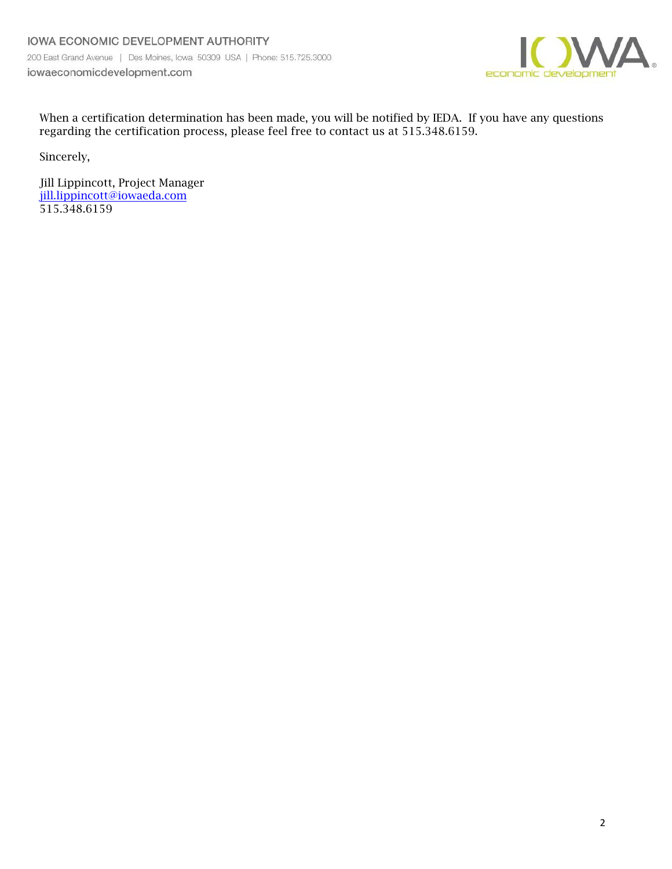

When a certification determination has been made, you will be notified by IEDA. If you have any questions regarding the certification process, please feel free to contact us at 515.348.6159.

Sincerely,

Jill Lippincott, Project Manager [jill.lippincott@iowaeda.c](mailto:jill.lippincott@iowa.gov)om 515.348.6159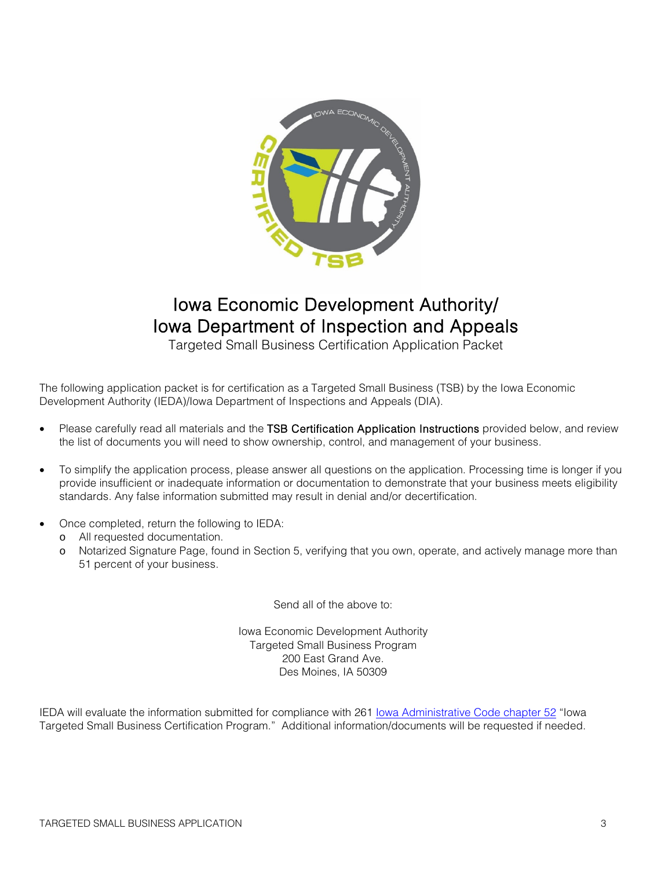

## Iowa Economic Development Authority/ Iowa Department of Inspection and Appeals

Targeted Small Business Certification Application Packet

The following application packet is for certification as a Targeted Small Business (TSB) by the Iowa Economic Development Authority (IEDA)/Iowa Department of Inspections and Appeals (DIA).

- Please carefully read all materials and the TSB Certification Application Instructions provided below, and review the list of documents you will need to show ownership, control, and management of your business.
- To simplify the application process, please answer all questions on the application. Processing time is longer if you provide insufficient or inadequate information or documentation to demonstrate that your business meets eligibility standards. Any false information submitted may result in denial and/or decertification.
- Once completed, return the following to IEDA:
	- o All requested documentation.
	- o Notarized Signature Page, found in Section 5, verifying that you own, operate, and actively manage more than 51 percent of your business.

Send all of the above to:

Iowa Economic Development Authority Targeted Small Business Program 200 East Grand Ave. Des Moines, IA 50309

IEDA will evaluate the information submitted for compliance with 261 [Iowa Administrative Code chapter](https://www.legis.iowa.gov/docs/iac/chapter/07-18-2018.261.52.pdf) 52 "Iowa Targeted Small Business Certification Program." Additional information/documents will be requested if needed.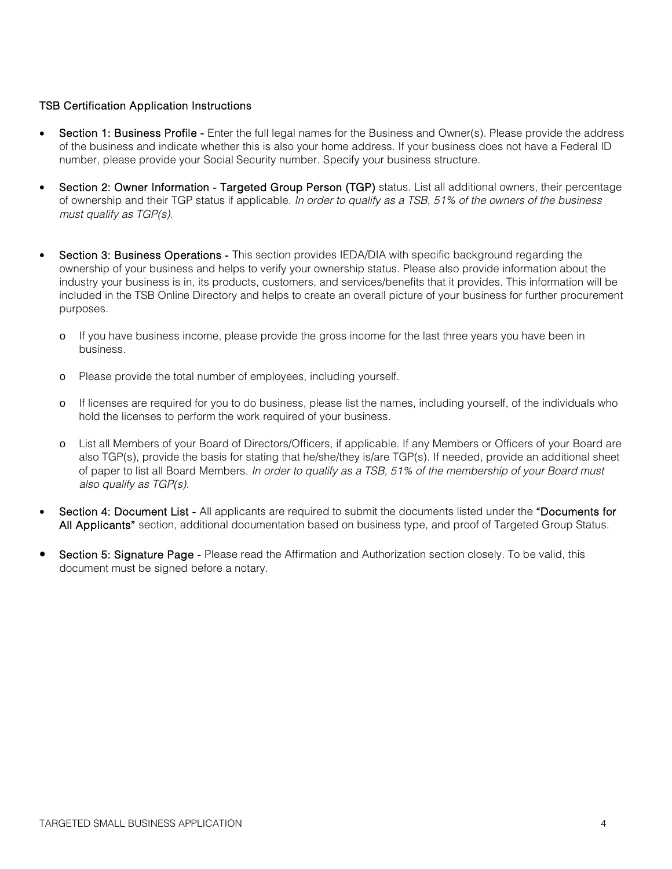#### TSB Certification Application Instructions

- Section 1: Business Profile Enter the full legal names for the Business and Owner(s). Please provide the address of the business and indicate whether this is also your home address. If your business does not have a Federal ID number, please provide your Social Security number. Specify your business structure.
- Section 2: Owner Information Targeted Group Person (TGP) status. List all additional owners, their percentage of ownership and their TGP status if applicable. *In order to qualify as a TSB, 51% of the owners of the business must qualify as TGP(s).*
- **Section 3: Business Operations This section provides IEDA/DIA with specific background regarding the** ownership of your business and helps to verify your ownership status. Please also provide information about the industry your business is in, its products, customers, and services/benefits that it provides. This information will be included in the TSB Online Directory and helps to create an overall picture of your business for further procurement purposes.
	- o If you have business income, please provide the gross income for the last three years you have been in business.
	- o Please provide the total number of employees, including yourself.
	- o If licenses are required for you to do business, please list the names, including yourself, of the individuals who hold the licenses to perform the work required of your business.
	- o List all Members of your Board of Directors/Officers, if applicable. If any Members or Officers of your Board are also TGP(s), provide the basis for stating that he/she/they is/are TGP(s). If needed, provide an additional sheet of paper to list all Board Members. *In order to qualify as a TSB, 51% of the membership of your Board must also qualify as TGP(s).*
- Section 4: Document List All applicants are required to submit the documents listed under the "Documents for All Applicants" section, additional documentation based on business type, and proof of Targeted Group Status.
- Section 5: Signature Page Please read the Affirmation and Authorization section closely. To be valid, this document must be signed before a notary.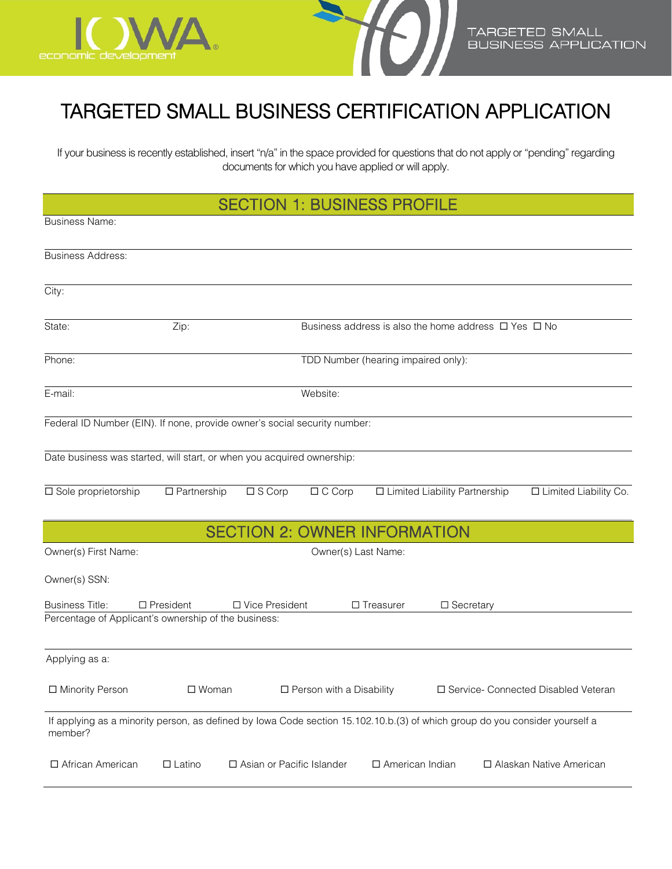



## TARGETED SMALL BUSINESS CERTIFICATION APPLICATION

If your business is recently established, insert "n/a" in the space provided for questions that do not apply or "pending" regarding documents for which you have applied or will apply.

| <b>SECTION 1: BUSINESS PROFILE</b> |  |  |
|------------------------------------|--|--|
|------------------------------------|--|--|

| <b>SECTION 1: BUSINESS PROFILE</b>                                        |                    |                                     |                                     |                                                                                                                             |                                       |
|---------------------------------------------------------------------------|--------------------|-------------------------------------|-------------------------------------|-----------------------------------------------------------------------------------------------------------------------------|---------------------------------------|
| <b>Business Name:</b>                                                     |                    |                                     |                                     |                                                                                                                             |                                       |
| <b>Business Address:</b>                                                  |                    |                                     |                                     |                                                                                                                             |                                       |
| City:                                                                     |                    |                                     |                                     |                                                                                                                             |                                       |
| State:                                                                    | Zip:               |                                     |                                     | Business address is also the home address $\Box$ Yes $\Box$ No                                                              |                                       |
| Phone:                                                                    |                    |                                     | TDD Number (hearing impaired only): |                                                                                                                             |                                       |
| E-mail:                                                                   |                    | Website:                            |                                     |                                                                                                                             |                                       |
| Federal ID Number (EIN). If none, provide owner's social security number: |                    |                                     |                                     |                                                                                                                             |                                       |
| Date business was started, will start, or when you acquired ownership:    |                    |                                     |                                     |                                                                                                                             |                                       |
| $\overline{\square}$ Sole proprietorship                                  | $\Box$ Partnership | $\square$ S Corp                    | $\Box$ C Corp                       | □ Limited Liability Partnership                                                                                             | □ Limited Liability Co.               |
|                                                                           |                    | <b>SECTION 2: OWNER INFORMATION</b> |                                     |                                                                                                                             |                                       |
| Owner(s) First Name:                                                      |                    |                                     | Owner(s) Last Name:                 |                                                                                                                             |                                       |
| Owner(s) SSN:                                                             |                    |                                     |                                     |                                                                                                                             |                                       |
| <b>Business Title:</b>                                                    | $\Box$ President   | □ Vice President                    | $\Box$ Treasurer                    | □ Secretary                                                                                                                 |                                       |
| Percentage of Applicant's ownership of the business:                      |                    |                                     |                                     |                                                                                                                             |                                       |
| Applying as a:                                                            |                    |                                     |                                     |                                                                                                                             |                                       |
| □ Minority Person                                                         | $\square$ Woman    |                                     | $\Box$ Person with a Disability     |                                                                                                                             | □ Service- Connected Disabled Veteran |
| member?                                                                   |                    |                                     |                                     | If applying as a minority person, as defined by Iowa Code section 15.102.10.b.(3) of which group do you consider yourself a |                                       |
| □ African American                                                        | $\square$ Latino   | □ Asian or Pacific Islander         |                                     | □ American Indian                                                                                                           | □ Alaskan Native American             |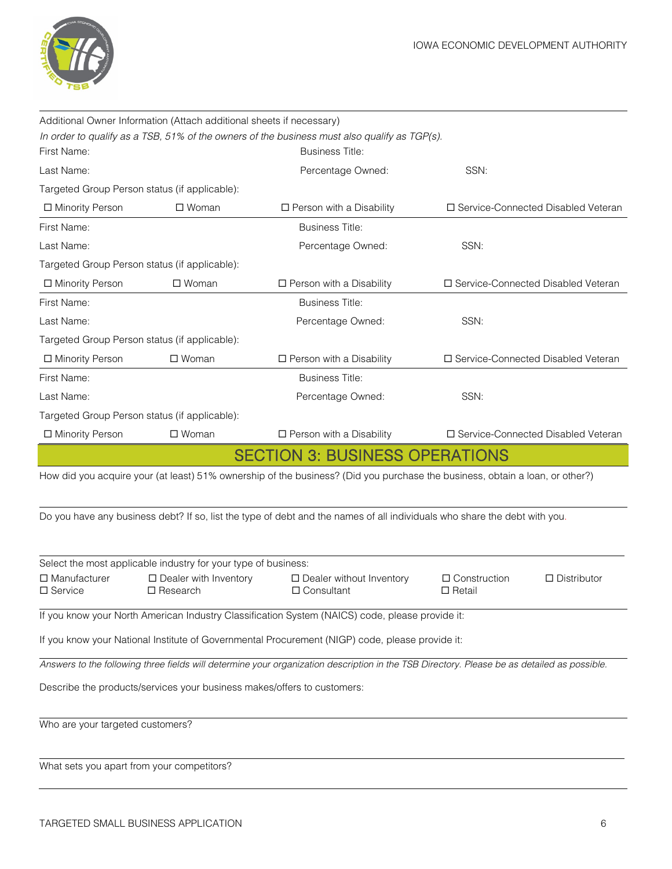

|                                            | Additional Owner Information (Attach additional sheets if necessary) |                                                                                                                                             |                                    |                                      |
|--------------------------------------------|----------------------------------------------------------------------|---------------------------------------------------------------------------------------------------------------------------------------------|------------------------------------|--------------------------------------|
| First Name:                                |                                                                      | In order to qualify as a TSB, 51% of the owners of the business must also qualify as TGP(s).<br><b>Business Title:</b>                      |                                    |                                      |
| Last Name:                                 |                                                                      | Percentage Owned:                                                                                                                           | SSN:                               |                                      |
|                                            | Targeted Group Person status (if applicable):                        |                                                                                                                                             |                                    |                                      |
| □ Minority Person                          | $\square$ Woman                                                      | $\Box$ Person with a Disability                                                                                                             |                                    | □ Service-Connected Disabled Veteran |
| First Name:                                |                                                                      | <b>Business Title:</b>                                                                                                                      |                                    |                                      |
| Last Name:                                 |                                                                      | Percentage Owned:                                                                                                                           | SSN:                               |                                      |
|                                            | Targeted Group Person status (if applicable):                        |                                                                                                                                             |                                    |                                      |
| □ Minority Person                          | $\square$ Woman                                                      | □ Person with a Disability                                                                                                                  |                                    | □ Service-Connected Disabled Veteran |
| First Name:                                |                                                                      | <b>Business Title:</b>                                                                                                                      |                                    |                                      |
| Last Name:                                 |                                                                      | Percentage Owned:                                                                                                                           | SSN:                               |                                      |
|                                            | Targeted Group Person status (if applicable):                        |                                                                                                                                             |                                    |                                      |
| □ Minority Person                          | $\square$ Woman                                                      |                                                                                                                                             |                                    | □ Service-Connected Disabled Veteran |
|                                            |                                                                      | $\square$ Person with a Disability                                                                                                          |                                    |                                      |
| First Name:                                |                                                                      | <b>Business Title:</b>                                                                                                                      |                                    |                                      |
| Last Name:                                 |                                                                      | Percentage Owned:                                                                                                                           | SSN:                               |                                      |
|                                            | Targeted Group Person status (if applicable):                        |                                                                                                                                             |                                    |                                      |
| □ Minority Person                          | $\square$ Woman                                                      | $\square$ Person with a Disability                                                                                                          |                                    | □ Service-Connected Disabled Veteran |
|                                            |                                                                      |                                                                                                                                             |                                    |                                      |
|                                            |                                                                      | <b>SECTION 3: BUSINESS OPERATIONS</b>                                                                                                       |                                    |                                      |
|                                            |                                                                      | How did you acquire your (at least) 51% ownership of the business? (Did you purchase the business, obtain a loan, or other?)                |                                    |                                      |
|                                            |                                                                      |                                                                                                                                             |                                    |                                      |
|                                            |                                                                      | Do you have any business debt? If so, list the type of debt and the names of all individuals who share the debt with you.                   |                                    |                                      |
|                                            |                                                                      |                                                                                                                                             |                                    |                                      |
|                                            |                                                                      |                                                                                                                                             |                                    |                                      |
|                                            | Select the most applicable industry for your type of business:       |                                                                                                                                             |                                    |                                      |
| $\square$ Manufacturer<br>□ Service        | $\square$ Dealer with Inventory<br>$\square$ Research                | □ Dealer without Inventory<br>□ Consultant                                                                                                  | □ Construction<br>$\square$ Retail | $\Box$ Distributor                   |
|                                            |                                                                      |                                                                                                                                             |                                    |                                      |
|                                            |                                                                      | If you know your North American Industry Classification System (NAICS) code, please provide it:                                             |                                    |                                      |
|                                            |                                                                      | If you know your National Institute of Governmental Procurement (NIGP) code, please provide it:                                             |                                    |                                      |
|                                            |                                                                      | Answers to the following three fields will determine your organization description in the TSB Directory. Please be as detailed as possible. |                                    |                                      |
|                                            |                                                                      | Describe the products/services your business makes/offers to customers:                                                                     |                                    |                                      |
|                                            |                                                                      |                                                                                                                                             |                                    |                                      |
| Who are your targeted customers?           |                                                                      |                                                                                                                                             |                                    |                                      |
|                                            |                                                                      |                                                                                                                                             |                                    |                                      |
| What sets you apart from your competitors? |                                                                      |                                                                                                                                             |                                    |                                      |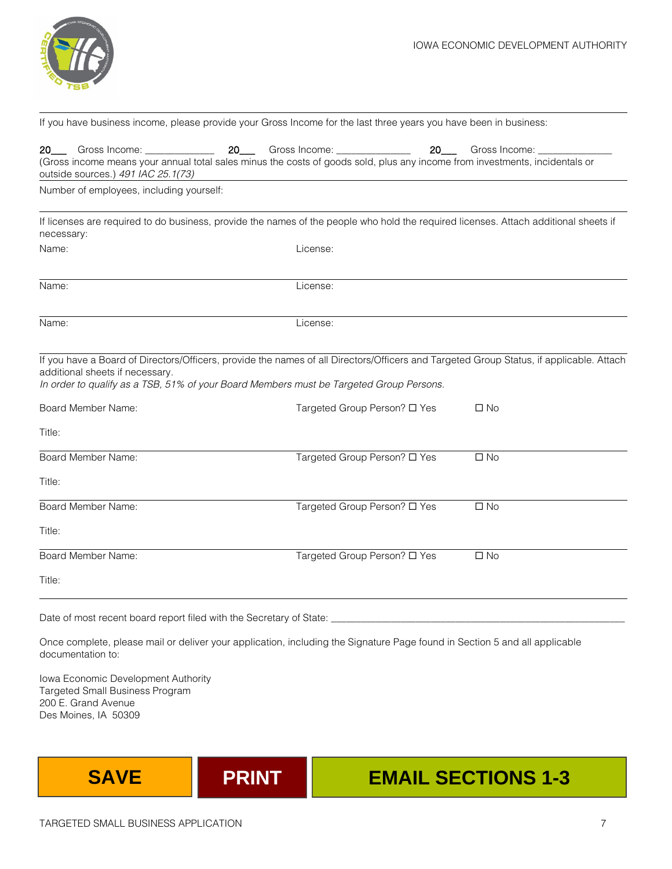

| $20$ <sub>____</sub>                                  | Gross Income: ______________                                                            | <b>20</b> | Gross Income: _____________  | 20 | Gross Income:                                                                                                                                           |
|-------------------------------------------------------|-----------------------------------------------------------------------------------------|-----------|------------------------------|----|---------------------------------------------------------------------------------------------------------------------------------------------------------|
| outside sources.) 491 IAC 25.1(73)                    |                                                                                         |           |                              |    | (Gross income means your annual total sales minus the costs of goods sold, plus any income from investments, incidentals or                             |
|                                                       | Number of employees, including yourself:                                                |           |                              |    |                                                                                                                                                         |
| necessary:                                            |                                                                                         |           |                              |    | If licenses are required to do business, provide the names of the people who hold the required licenses. Attach additional sheets if                    |
| Name:                                                 |                                                                                         |           | License:                     |    |                                                                                                                                                         |
| Name:                                                 |                                                                                         |           | License:                     |    |                                                                                                                                                         |
| Name:                                                 |                                                                                         |           | License:                     |    |                                                                                                                                                         |
| additional sheets if necessary.<br>Board Member Name: | In order to qualify as a TSB, 51% of your Board Members must be Targeted Group Persons. |           | Targeted Group Person? □ Yes |    | If you have a Board of Directors/Officers, provide the names of all Directors/Officers and Targeted Group Status, if applicable. Attach<br>$\square$ No |
| Title:                                                |                                                                                         |           |                              |    |                                                                                                                                                         |
| Board Member Name:                                    |                                                                                         |           | Targeted Group Person? □ Yes |    | $\Box$ No                                                                                                                                               |
| Title:                                                |                                                                                         |           |                              |    |                                                                                                                                                         |
| Board Member Name:                                    |                                                                                         |           | Targeted Group Person? □ Yes |    | $\square$ No                                                                                                                                            |
| Title:                                                |                                                                                         |           |                              |    |                                                                                                                                                         |
| Board Member Name:                                    |                                                                                         |           | Targeted Group Person? □ Yes |    | $\Box$ No                                                                                                                                               |
| Title:                                                |                                                                                         |           |                              |    |                                                                                                                                                         |
|                                                       | Date of most recent board report filed with the Secretary of State:                     |           |                              |    |                                                                                                                                                         |

If you have business income, please provide your Gross Income for the last three years you have been in business:

Once complete, please mail or deliver your application, including the Signature Page found in Section 5 and all applicable documentation to:

Iowa Economic Development Authority Targeted Small Business Program 200 E. Grand Avenue Des Moines, IA 50309



# **SAVE PRINT EMAIL SECTIONS 1-3**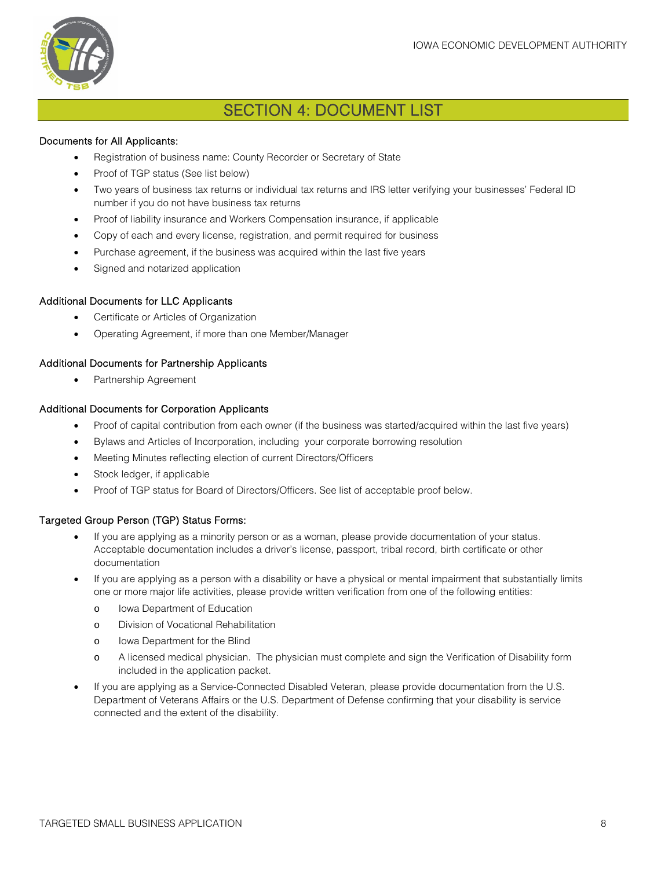

### SECTION 4: DOCUMENT LIST

#### Documents for All Applicants:

- Registration of business name: County Recorder or Secretary of State
- Proof of TGP status (See list below)
- Two years of business tax returns or individual tax returns and IRS letter verifying your businesses' Federal ID number if you do not have business tax returns
- Proof of liability insurance and Workers Compensation insurance, if applicable
- Copy of each and every license, registration, and permit required for business
- Purchase agreement, if the business was acquired within the last five years
- Signed and notarized application

#### Additional Documents for LLC Applicants

- Certificate or Articles of Organization
- Operating Agreement, if more than one Member/Manager

#### Additional Documents for Partnership Applicants

• Partnership Agreement

#### Additional Documents for Corporation Applicants

- Proof of capital contribution from each owner (if the business was started/acquired within the last five years)
- Bylaws and Articles of Incorporation, including your corporate borrowing resolution
- Meeting Minutes reflecting election of current Directors/Officers
- Stock ledger, if applicable
- Proof of TGP status for Board of Directors/Officers. See list of acceptable proof below.

#### Targeted Group Person (TGP) Status Forms:

- If you are applying as a minority person or as a woman, please provide documentation of your status. Acceptable documentation includes a driver's license, passport, tribal record, birth certificate or other documentation
- If you are applying as a person with a disability or have a physical or mental impairment that substantially limits one or more major life activities, please provide written verification from one of the following entities:
	- o Iowa Department of Education
	- o Division of Vocational Rehabilitation
	- o Iowa Department for the Blind
	- o A licensed medical physician. The physician must complete and sign the Verification of Disability form included in the application packet.
- If you are applying as a Service-Connected Disabled Veteran, please provide documentation from the U.S. Department of Veterans Affairs or the U.S. Department of Defense confirming that your disability is service connected and the extent of the disability.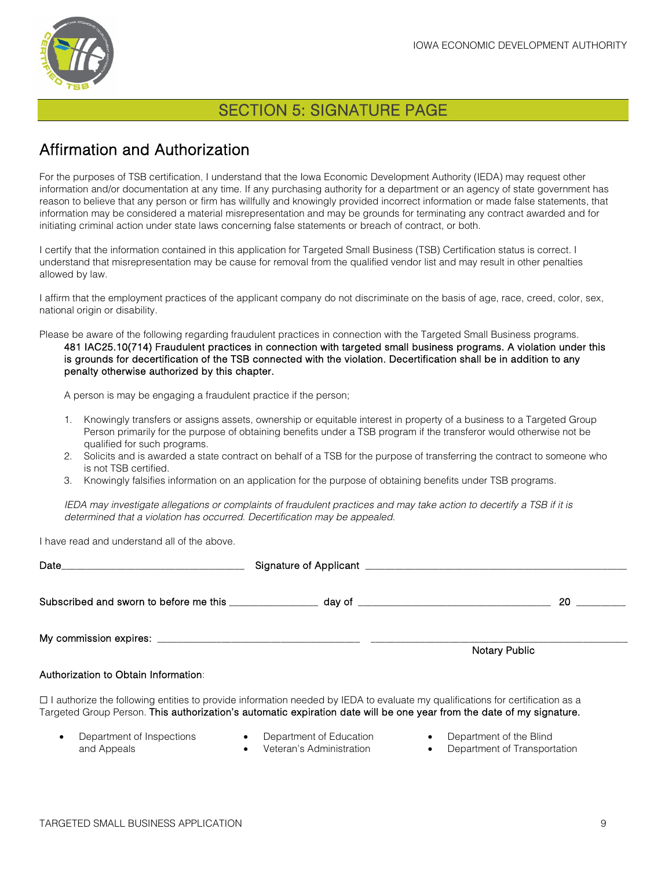

### SECTION 5: SIGNATURE PAGE

## Affirmation and Authorization

For the purposes of TSB certification, I understand that the Iowa Economic Development Authority (IEDA) may request other information and/or documentation at any time. If any purchasing authority for a department or an agency of state government has reason to believe that any person or firm has willfully and knowingly provided incorrect information or made false statements, that information may be considered a material misrepresentation and may be grounds for terminating any contract awarded and for initiating criminal action under state laws concerning false statements or breach of contract, or both.

I certify that the information contained in this application for Targeted Small Business (TSB) Certification status is correct. I understand that misrepresentation may be cause for removal from the qualified vendor list and may result in other penalties allowed by law.

I affirm that the employment practices of the applicant company do not discriminate on the basis of age, race, creed, color, sex, national origin or disability.

Please be aware of the following regarding fraudulent practices in connection with the Targeted Small Business programs.

481 IAC25.10(714) Fraudulent practices in connection with targeted small business programs. A violation under this is grounds for decertification of the TSB connected with the violation. Decertification shall be in addition to any penalty otherwise authorized by this chapter.

A person is may be engaging a fraudulent practice if the person;

- 1. Knowingly transfers or assigns assets, ownership or equitable interest in property of a business to a Targeted Group Person primarily for the purpose of obtaining benefits under a TSB program if the transferor would otherwise not be qualified for such programs.
- 2. Solicits and is awarded a state contract on behalf of a TSB for the purpose of transferring the contract to someone who is not TSB certified.
- 3. Knowingly falsifies information on an application for the purpose of obtaining benefits under TSB programs.

*IEDA may investigate allegations or complaints of fraudulent practices and may take action to decertify a TSB if it is determined that a violation has occurred. Decertification may be appealed.*

I have read and understand all of the above.

| Subscribed and sworn to before me this __________________ day of __________________________________                                                                                                                                                           | 20                   |
|---------------------------------------------------------------------------------------------------------------------------------------------------------------------------------------------------------------------------------------------------------------|----------------------|
|                                                                                                                                                                                                                                                               | <b>Notary Public</b> |
| Authorization to Obtain Information:                                                                                                                                                                                                                          |                      |
| $\Box$ I authorize the following entities to provide information needed by IEDA to evaluate my qualifications for certification as a<br>Targeted Group Person. This authorization's automatic expiration date will be one year from the date of my signature. |                      |

- Department of Inspections and Appeals
- Department of Education • Veteran's Administration
- Department of the Blind
- Department of Transportation